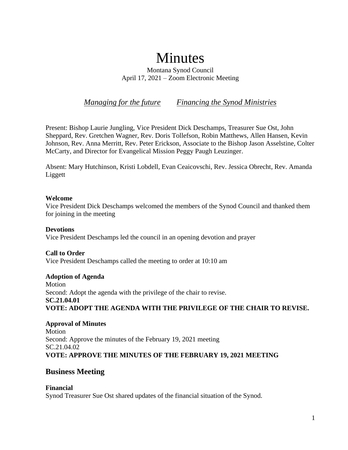# Minutes

Montana Synod Council April 17, 2021 – Zoom Electronic Meeting

*Managing for the future Financing the Synod Ministries*

Present: Bishop Laurie Jungling, Vice President Dick Deschamps, Treasurer Sue Ost, John Sheppard, Rev. Gretchen Wagner, Rev. Doris Tollefson, Robin Matthews, Allen Hansen, Kevin Johnson, Rev. Anna Merritt, Rev. Peter Erickson, Associate to the Bishop Jason Asselstine, Colter McCarty, and Director for Evangelical Mission Peggy Paugh Leuzinger.

Absent: Mary Hutchinson, Kristi Lobdell, Evan Ceaicovschi, Rev. Jessica Obrecht, Rev. Amanda Liggett

## **Welcome**

Vice President Dick Deschamps welcomed the members of the Synod Council and thanked them for joining in the meeting

**Devotions** Vice President Deschamps led the council in an opening devotion and prayer

# **Call to Order**

Vice President Deschamps called the meeting to order at 10:10 am

# **Adoption of Agenda**

Motion Second: Adopt the agenda with the privilege of the chair to revise. **SC.21.04.01 VOTE: ADOPT THE AGENDA WITH THE PRIVILEGE OF THE CHAIR TO REVISE.**

**Approval of Minutes** Motion Second: Approve the minutes of the February 19, 2021 meeting SC.21.04.02 **VOTE: APPROVE THE MINUTES OF THE FEBRUARY 19, 2021 MEETING**

# **Business Meeting**

**Financial** Synod Treasurer Sue Ost shared updates of the financial situation of the Synod.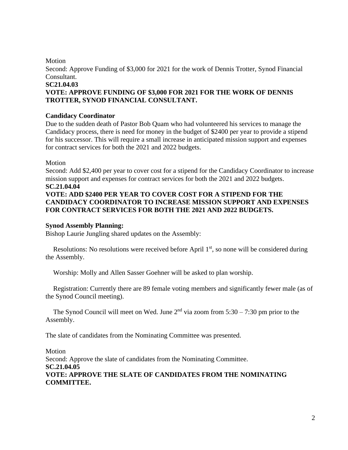## Motion

Second: Approve Funding of \$3,000 for 2021 for the work of Dennis Trotter, Synod Financial Consultant.

#### **SC21.04.03**

# **VOTE: APPROVE FUNDING OF \$3,000 FOR 2021 FOR THE WORK OF DENNIS TROTTER, SYNOD FINANCIAL CONSULTANT.**

## **Candidacy Coordinator**

Due to the sudden death of Pastor Bob Quam who had volunteered his services to manage the Candidacy process, there is need for money in the budget of \$2400 per year to provide a stipend for his successor. This will require a small increase in anticipated mission support and expenses for contract services for both the 2021 and 2022 budgets.

Motion

Second: Add \$2,400 per year to cover cost for a stipend for the Candidacy Coordinator to increase mission support and expenses for contract services for both the 2021 and 2022 budgets. **SC.21.04.04**

# **VOTE: ADD \$2400 PER YEAR TO COVER COST FOR A STIPEND FOR THE CANDIDACY COORDINATOR TO INCREASE MISSION SUPPORT AND EXPENSES FOR CONTRACT SERVICES FOR BOTH THE 2021 AND 2022 BUDGETS.**

## **Synod Assembly Planning:**

Bishop Laurie Jungling shared updates on the Assembly:

Resolutions: No resolutions were received before April  $1<sup>st</sup>$ , so none will be considered during the Assembly.

Worship: Molly and Allen Sasser Goehner will be asked to plan worship.

Registration: Currently there are 89 female voting members and significantly fewer male (as of the Synod Council meeting).

The Synod Council will meet on Wed. June  $2<sup>nd</sup>$  via zoom from  $5:30 - 7:30$  pm prior to the Assembly.

The slate of candidates from the Nominating Committee was presented.

Motion Second: Approve the slate of candidates from the Nominating Committee. **SC.21.04.05 VOTE: APPROVE THE SLATE OF CANDIDATES FROM THE NOMINATING COMMITTEE.**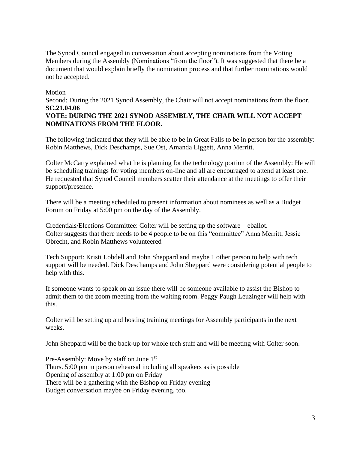The Synod Council engaged in conversation about accepting nominations from the Voting Members during the Assembly (Nominations "from the floor"). It was suggested that there be a document that would explain briefly the nomination process and that further nominations would not be accepted.

## Motion

Second: During the 2021 Synod Assembly, the Chair will not accept nominations from the floor. **SC.21.04.06**

# **VOTE: DURING THE 2021 SYNOD ASSEMBLY, THE CHAIR WILL NOT ACCEPT NOMINATIONS FROM THE FLOOR.**

The following indicated that they will be able to be in Great Falls to be in person for the assembly: Robin Matthews, Dick Deschamps, Sue Ost, Amanda Liggett, Anna Merritt.

Colter McCarty explained what he is planning for the technology portion of the Assembly: He will be scheduling trainings for voting members on-line and all are encouraged to attend at least one. He requested that Synod Council members scatter their attendance at the meetings to offer their support/presence.

There will be a meeting scheduled to present information about nominees as well as a Budget Forum on Friday at 5:00 pm on the day of the Assembly.

Credentials/Elections Committee: Colter will be setting up the software – eballot. Colter suggests that there needs to be 4 people to be on this "committee" Anna Merritt, Jessie Obrecht, and Robin Matthews volunteered

Tech Support: Kristi Lobdell and John Sheppard and maybe 1 other person to help with tech support will be needed. Dick Deschamps and John Sheppard were considering potential people to help with this.

If someone wants to speak on an issue there will be someone available to assist the Bishop to admit them to the zoom meeting from the waiting room. Peggy Paugh Leuzinger will help with this.

Colter will be setting up and hosting training meetings for Assembly participants in the next weeks.

John Sheppard will be the back-up for whole tech stuff and will be meeting with Colter soon.

Pre-Assembly: Move by staff on June 1<sup>st</sup> Thurs. 5:00 pm in person rehearsal including all speakers as is possible Opening of assembly at 1:00 pm on Friday There will be a gathering with the Bishop on Friday evening Budget conversation maybe on Friday evening, too.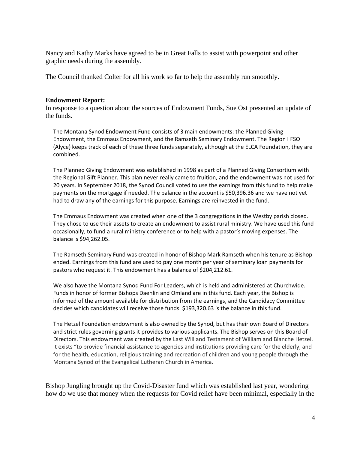Nancy and Kathy Marks have agreed to be in Great Falls to assist with powerpoint and other graphic needs during the assembly.

The Council thanked Colter for all his work so far to help the assembly run smoothly.

#### **Endowment Report:**

In response to a question about the sources of Endowment Funds, Sue Ost presented an update of the funds.

 The Montana Synod Endowment Fund consists of 3 main endowments: the Planned Giving Endowment, the Emmaus Endowment, and the Ramseth Seminary Endowment. The Region I FSO (Alyce) keeps track of each of these three funds separately, although at the ELCA Foundation, they are combined.

The Planned Giving Endowment was established in 1998 as part of a Planned Giving Consortium with the Regional Gift Planner. This plan never really came to fruition, and the endowment was not used for 20 years. In September 2018, the Synod Council voted to use the earnings from this fund to help make payments on the mortgage if needed. The balance in the account is \$50,396.36 and we have not yet had to draw any of the earnings for this purpose. Earnings are reinvested in the fund.

The Emmaus Endowment was created when one of the 3 congregations in the Westby parish closed. They chose to use their assets to create an endowment to assist rural ministry. We have used this fund occasionally, to fund a rural ministry conference or to help with a pastor's moving expenses. The balance is \$94,262.05.

The Ramseth Seminary Fund was created in honor of Bishop Mark Ramseth when his tenure as Bishop ended. Earnings from this fund are used to pay one month per year of seminary loan payments for pastors who request it. This endowment has a balance of \$204,212.61.

We also have the Montana Synod Fund For Leaders, which is held and administered at Churchwide. Funds in honor of former Bishops Daehlin and Omland are in this fund. Each year, the Bishop is informed of the amount available for distribution from the earnings, and the Candidacy Committee decides which candidates will receive those funds. \$193,320.63 is the balance in this fund.

The Hetzel Foundation endowment is also owned by the Synod, but has their own Board of Directors and strict rules governing grants it provides to various applicants. The Bishop serves on this Board of Directors. This endowment was created by the Last Will and Testament of William and Blanche Hetzel. It exists "to provide financial assistance to agencies and institutions providing care for the elderly, and for the health, education, religious training and recreation of children and young people through the Montana Synod of the Evangelical Lutheran Church in America.

Bishop Jungling brought up the Covid-Disaster fund which was established last year, wondering how do we use that money when the requests for Covid relief have been minimal, especially in the